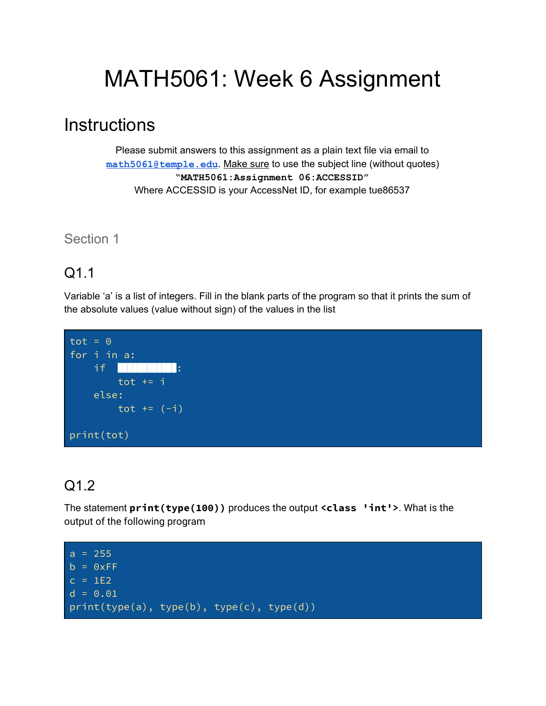# MATH5061: Week 6 Assignment

# **Instructions**

Please submit answers to this assignment as a plain text file via email to **[math5061@temple.edu](mailto:math5061@temple.edu)**. Make sure to use the subject line (without quotes) **"MATH5061:Assignment 06:ACCESSID"** Where ACCESSID is your AccessNet ID, for example tue86537

Section 1

### Q1.1

Variable 'a' is a list of integers. Fill in the blank parts of the program so that it prints the sum of the absolute values (value without sign) of the values in the list



## Q1.2

The statement **print(type(100))** produces the output **<class 'int'>**. What is the output of the following program

```
a = 255b = 0xFFc = 1E2d = 0.01print(type(a), type(b), type(c), type(d))
```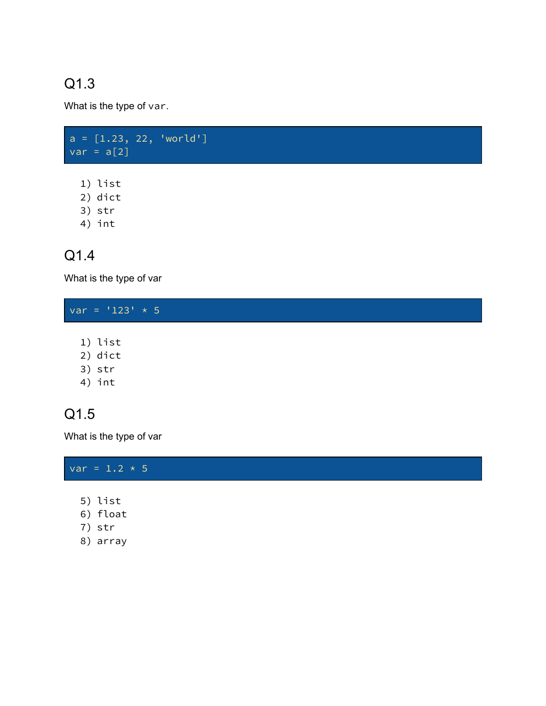# Q1.3

What is the type of var.



- 1) list
- 2) dict
- 3) str
- 4) int

# Q1.4

What is the type of var

 $var = '123' * 5$ 

- 1) list
- 2) dict
- 3) str
- 4) int

### Q1.5

What is the type of var

 $var = 1.2 * 5$ 

- 5) list
- 6) float
- 7) str
- 8) array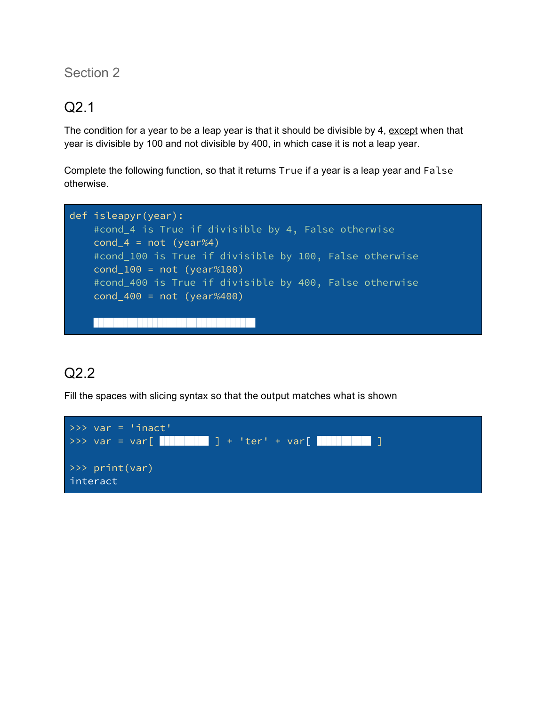Section 2

## Q2.1

The condition for a year to be a leap year is that it should be divisible by 4, except when that year is divisible by 100 and not divisible by 400, in which case it is not a leap year.

Complete the following function, so that it returns True if a year is a leap year and False otherwise.



### $O<sub>2</sub>$

Fill the spaces with slicing syntax so that the output matches what is shown

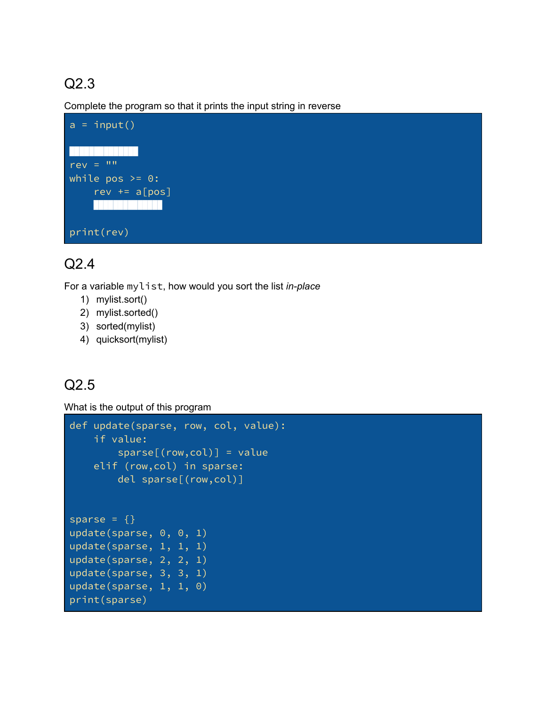## Q2.3

Complete the program so that it prints the input string in reverse



#### Q2.4

For a variable mylist, how would you sort the list *in-place*

- 1) mylist.sort()
- 2) mylist.sorted()
- 3) sorted(mylist)
- 4) quicksort(mylist)

## Q2.5

What is the output of this program

```
def update(sparse, row, col, value):
     if value:
         sparse[(row,col)] = value
     elif (row,col) in sparse:
         del sparse[(row,col)]
sparse = \{\}update(sparse, 0, 0, 1)
update(sparse, 1, 1, 1)update(sparse, 2, 2, 1)
update(sparse, 3, 3, 1)
update(sparse, 1, 1, 0)
print(sparse)
```